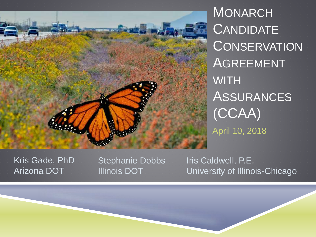

**MONARCH CANDIDATE CONSERVATION AGREEMENT WITH** ASSURANCES (CCAA) April 10, 2018

Kris Gade, PhD Arizona DOT

Stephanie Dobbs Illinois DOT

Iris Caldwell, P.E. University of Illinois-Chicago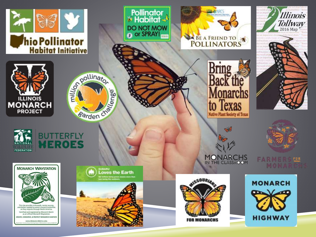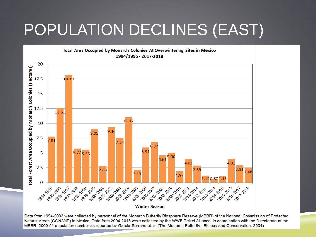## POPULATION DECLINES (EAST)



Data from 1994-2003 were collected by personnel of the Monarch Butterfly Biosphere Reserve (MBBR) of the National Commission of Protected Natural Areas (CONANP) in Mexico. Data from 2004-2018 were collected by the WWF-Telcel Alliance, in coordination with the Directorate of the MBBR, 2000-01 population number as reported by Garcia-Serrano et. al (The Monarch Butterfly: Biology and Conservation, 2004)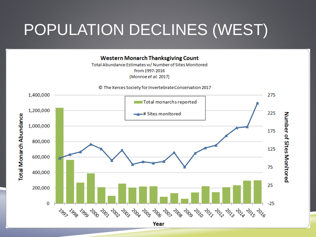## POPULATION DECLINES (WEST)

**Western Monarch Thanksgiving Count** 

Total Abundance Estimates w/ Number of Sites Monitored from 1997-2016 (Monroe et al. 2017)

© The Xerces Society for Invertebrate Conservation 2017

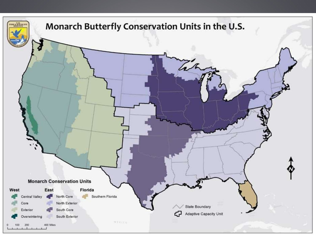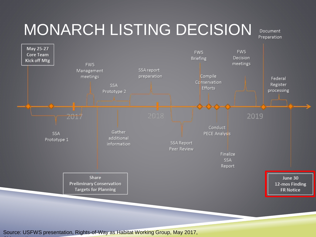## MONARCH LISTING DECISION

Document Preparation



Source: USFWS presentation, Rights-of-Way as Habitat Working Group, May 2017, Chicago, IL Chicago, IL Chicago, IL Chicago, IL Chicago, IL Chicago, IL Chicago, IL Chicago, IL Chicago, IL Chicago, IL Chicago, IL Chicago, IL Chicago, IL Chicago, IL Chicago, IL Chicago, IL Chicago, IL Chicago, IL Chicag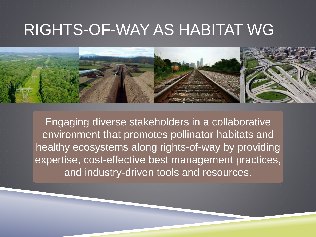### RIGHTS-OF-WAY AS HABITAT WG



Engaging diverse stakeholders in a collaborative environment that promotes pollinator habitats and healthy ecosystems along rights-of-way by providing expertise, cost-effective best management practices, and industry-driven tools and resources.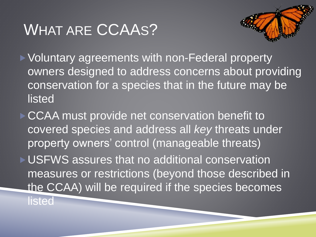### WHAT ARE CCAAS?

▶ Voluntary agreements with non-Federal property owners designed to address concerns about providing conservation for a species that in the future may be listed

CCAA must provide net conservation benefit to covered species and address all *key* threats under property owners' control (manageable threats) USFWS assures that no additional conservation measures or restrictions (beyond those described in the CCAA) will be required if the species becomes **listed**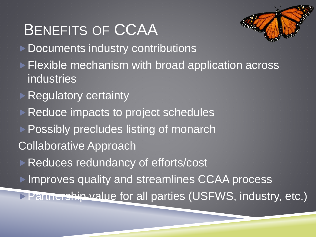### BENEFITS OF CCAA ▶ Documents industry contributions **Flexible mechanism with broad application across** industries ▶ Regulatory certainty ▶ Reduce impacts to project schedules ▶ Possibly precludes listing of monarch Collaborative Approach Reduces redundancy of efforts/cost **Improves quality and streamlines CCAA process Partnership value for all parties (USFWS, industry, etc.)**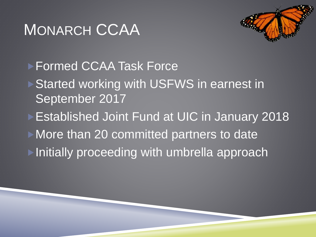### MONARCH CCAA



▶ Formed CCAA Task Force ▶ Started working with USFWS in earnest in September 2017 **Established Joint Fund at UIC in January 2018 More than 20 committed partners to date** ▶ Initially proceeding with umbrella approach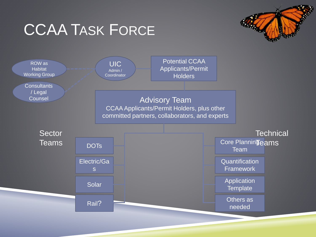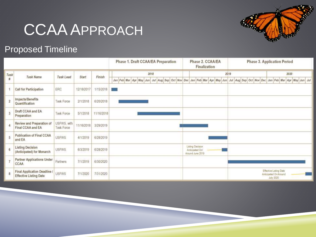### CCAA APPROACH

#### Proposed Timeline

|                |                                                             |                           |            |            | Phase 1. Draft CCAA/EA Preparation                                      | Phase 2. CCAA/EA<br><b>Finalization</b>                 |      | <b>Phase 3. Application Period</b>                           |
|----------------|-------------------------------------------------------------|---------------------------|------------|------------|-------------------------------------------------------------------------|---------------------------------------------------------|------|--------------------------------------------------------------|
| Task           | Task Name                                                   | Task Lead                 | Start      | Finish     | 2018                                                                    |                                                         | 2019 | 2020                                                         |
| 昇              |                                                             |                           |            |            | Jan Feb Mar Apr May Jun Jul Aug Sep Oct Nov Dec Jan Feb Mar Apr May Jun |                                                         |      | Jul Aug Sep Oct Nov Dec Jan Feb Mar Apr May Jun Jul          |
|                | Call for Participation                                      | ERC                       | 12/18/2017 | 1/15/2018  | . .                                                                     |                                                         |      |                                                              |
| $\overline{2}$ | Impacts/Benefits<br>Quantification                          | Task Force                | 2/1/2018   | 6/20/2018  |                                                                         |                                                         |      |                                                              |
| $\overline{3}$ | Draft CCAA and EA<br>Preparation                            | <b>Task Force</b>         | 5/1/2018   | 11/16/2018 |                                                                         |                                                         |      |                                                              |
| 4              | Review and Preparation of<br>Final CCAA and EA              | USFWS, with<br>Task Force | 11/16/2018 | 3/29/2019  |                                                                         |                                                         |      |                                                              |
| 5              | Publication of Final CCAA<br>and EA                         | <b>USFWS</b>              | 4/1/2019   | 6/28/2019  |                                                                         |                                                         |      |                                                              |
| 6              | <b>Listing Decision</b><br>(Anticipated) for Monarch        | USFWS.                    | 6/3/2019   | 6/28/2019  |                                                                         | Listing Decision<br>Anticipated On!<br>Around June 2019 |      |                                                              |
|                | <b>Partner Applications Under</b><br>CCAA                   | Partners                  | 7/1/2019   | 6/30/2020  |                                                                         |                                                         |      |                                                              |
| 8              | Final Application Deadline<br><b>Effective Listing Date</b> | <b>USFWS</b>              | 7/1/2020   | 7/31/2020  |                                                                         |                                                         |      | Effective Listing Date<br>Anticipated On/Around<br>July 2020 |

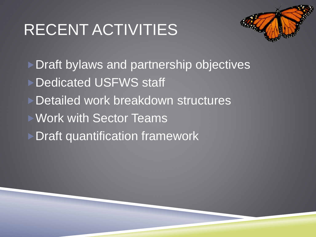# RECENT ACTIVITIES



▶ Draft bylaws and partnership objectives ▶ Dedicated USFWS staff **Detailed work breakdown structures Work with Sector Teams Draft quantification framework**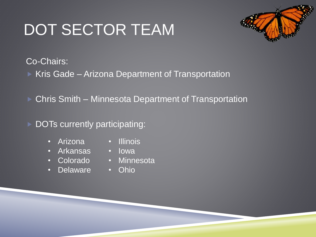# DOT SECTOR TEAM



Co-Chairs:

 $\triangleright$  Kris Gade – Arizona Department of Transportation

▶ Chris Smith – Minnesota Department of Transportation

#### DOTs currently participating:

- Arizona Illinois
- Arkansas Iowa
- 
- Delaware Ohio
- 
- 
- Colorado Minnesota
	-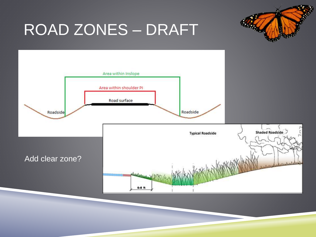## ROAD ZONES – DRAFT

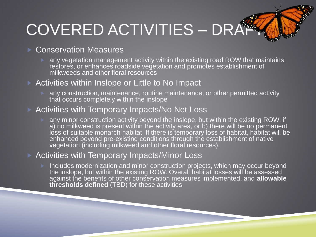# COVERED ACTIVITIES – DRAF

#### **Conservation Measures**

**A any vegetation management activity within the existing road ROW that maintains,** restores, or enhances roadside vegetation and promotes establishment of milkweeds and other floral resources

#### Activities within Inslope or Little to No Impact

 any construction, maintenance, routine maintenance, or other permitted activity that occurs completely within the inslope

#### ▶ Activities with Temporary Impacts/No Net Loss

any minor construction activity beyond the inslope, but within the existing ROW, if a) no milkweed is present within the activity area, or b) there will be no permanent loss of suitable monarch habitat. If there is temporary loss of habitat, habitat will be enhanced beyond pre-existing conditions through the establishment of native vegetation (including milkweed and other floral resources).

#### ▶ Activities with Temporary Impacts/Minor Loss

**Includes modernization and minor construction projects, which may occur beyond** the inslope, but within the existing ROW. Overall habitat losses will be assessed against the benefits of other conservation measures implemented, and **allowable thresholds defined** (TBD) for these activities.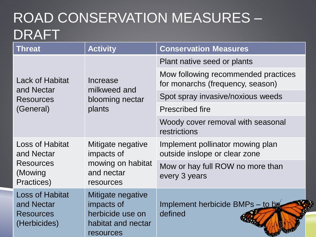#### ROAD CONSERVATION MEASURES – DRAFT

| <b>Threat</b>                                                            | <b>Activity</b>                                                                        | <b>Conservation Measures</b>                                            |  |  |
|--------------------------------------------------------------------------|----------------------------------------------------------------------------------------|-------------------------------------------------------------------------|--|--|
|                                                                          |                                                                                        | Plant native seed or plants                                             |  |  |
| <b>Lack of Habitat</b><br>and Nectar                                     | Increase<br>milkweed and                                                               | Mow following recommended practices<br>for monarchs (frequency, season) |  |  |
| <b>Resources</b>                                                         | blooming nectar                                                                        | Spot spray invasive/noxious weeds                                       |  |  |
| (General)                                                                | plants                                                                                 | <b>Prescribed fire</b>                                                  |  |  |
|                                                                          |                                                                                        | Woody cover removal with seasonal<br>restrictions                       |  |  |
| <b>Loss of Habitat</b><br>and Nectar                                     | Mitigate negative<br>impacts of                                                        | Implement pollinator mowing plan<br>outside inslope or clear zone       |  |  |
| <b>Resources</b><br>(Mowing<br>Practices)                                | mowing on habitat<br>and nectar<br>resources                                           | Mow or hay full ROW no more than<br>every 3 years                       |  |  |
| <b>Loss of Habitat</b><br>and Nectar<br><b>Resources</b><br>(Herbicides) | Mitigate negative<br>impacts of<br>herbicide use on<br>habitat and nectar<br>resources | Implement herbicide BMPs - to be<br>defined                             |  |  |

3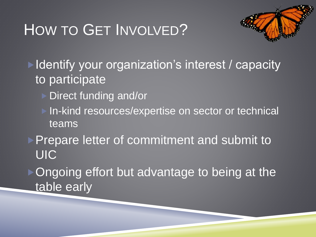## HOW TO GET INVOLVED?



▶ Identify your organization's interest / capacity to participate

- ▶ Direct funding and/or
	- In-kind resources/expertise on sector or technical teams

**Prepare letter of commitment and submit to UIC** 

▶ Ongoing effort but advantage to being at the table early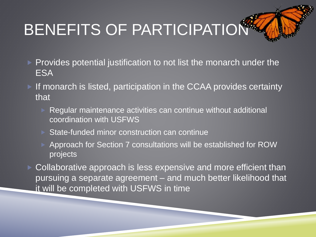# BENEFITS OF PARTICIPATION

- $\triangleright$  Provides potential justification to not list the monarch under the ESA
- If monarch is listed, participation in the CCAA provides certainty that
	- Regular maintenance activities can continue without additional coordination with USFWS
	- State-funded minor construction can continue
	- Approach for Section 7 consultations will be established for ROW projects
- ▶ Collaborative approach is less expensive and more efficient than pursuing a separate agreement – and much better likelihood that it will be completed with USFWS in time